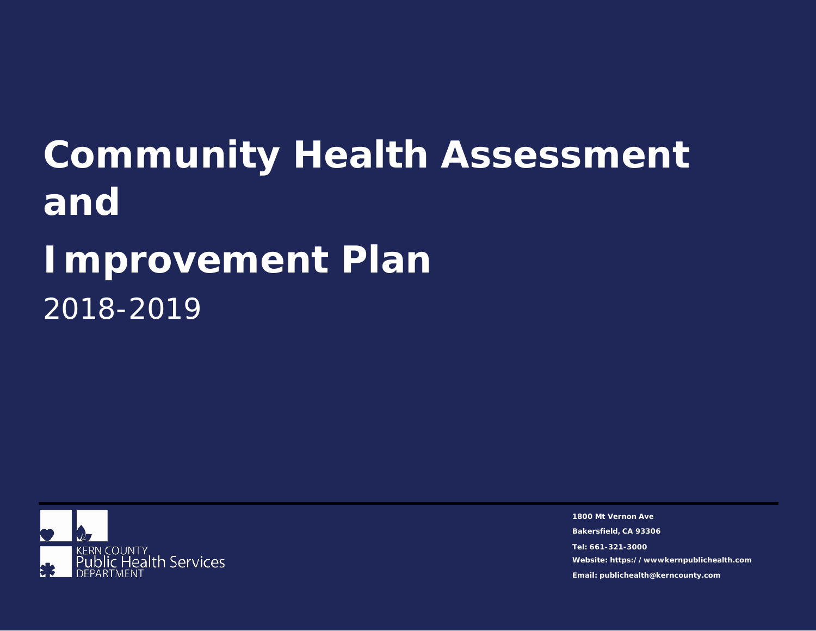**Community Health Assessment and Improvement Plan** 2018-2019



**1800 Mt Vernon Ave Bakersfield, CA 93306 Tel: 661-321-3000 Website: https://wwwkernpublichealth.com Email: publichealth@kerncounty.com**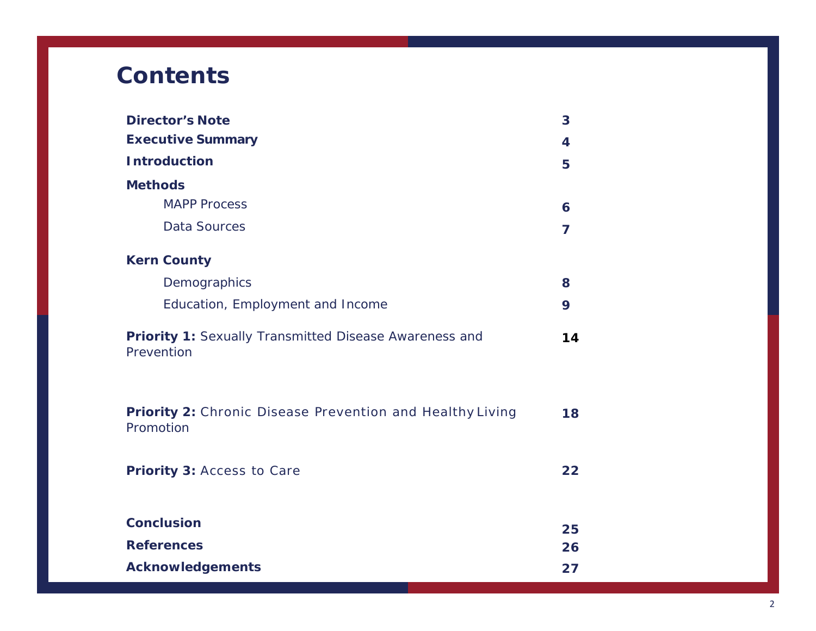# **Contents**

| <b>Director's Note</b>                                                        | 3              |
|-------------------------------------------------------------------------------|----------------|
| <b>Executive Summary</b>                                                      | 4              |
| <b>Introduction</b>                                                           | 5              |
| <b>Methods</b>                                                                |                |
| <b>MAPP Process</b>                                                           | 6              |
| <b>Data Sources</b>                                                           | $\overline{ }$ |
| <b>Kern County</b>                                                            |                |
| Demographics                                                                  | 8              |
| Education, Employment and Income                                              | 9              |
| Priority 1: Sexually Transmitted Disease Awareness and<br>Prevention          | 14             |
| <b>Priority 2: Chronic Disease Prevention and Healthy Living</b><br>Promotion | 18             |
| Priority 3: Access to Care                                                    | 22             |
| <b>Conclusion</b>                                                             | 25             |
| <b>References</b>                                                             | 26             |
| <b>Acknowledgements</b>                                                       | 27             |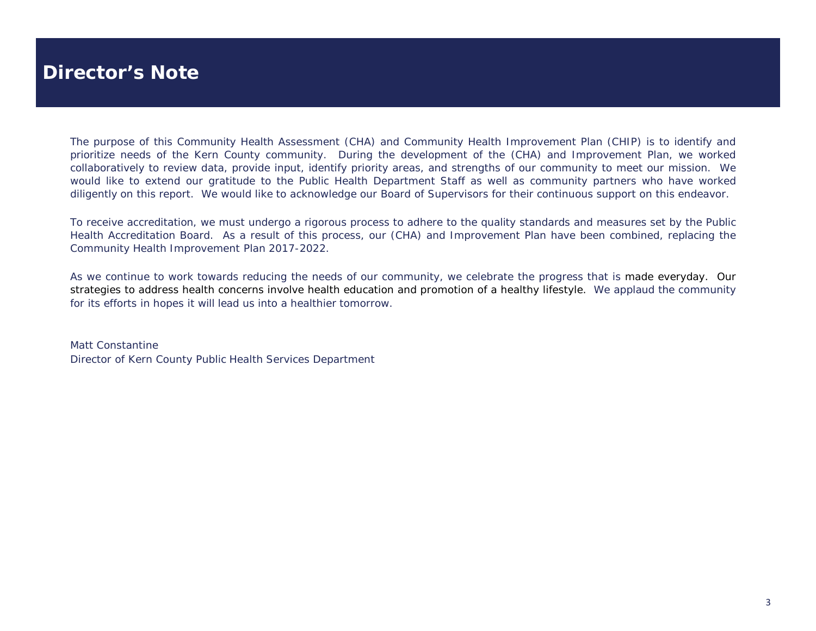### **Director's Note**

The purpose of this Community Health Assessment (CHA) and Community Health Improvement Plan (CHIP) is to identify and prioritize needs of the Kern County community. During the development of the (CHA) and Improvement Plan, we worked collaboratively to review data, provide input, identify priority areas, and strengths of our community to meet our mission. We would like to extend our gratitude to the Public Health Department Staff as well as community partners who have worked diligently on this report. We would like to acknowledge our Board of Supervisors for their continuous support on this endeavor.

To receive accreditation, we must undergo a rigorous process to adhere to the quality standards and measures set by the Public Health Accreditation Board. As a result of this process, our (CHA) and Improvement Plan have been combined, replacing the Community Health Improvement Plan 2017-2022.

As we continue to work towards reducing the needs of our community, we celebrate the progress that is made everyday. Our strategies to address health concerns involve health education and promotion of a healthy lifestyle. We applaud the community for its efforts in hopes it will lead us into a healthier tomorrow.

Matt Constantine Director of Kern County Public Health Services Department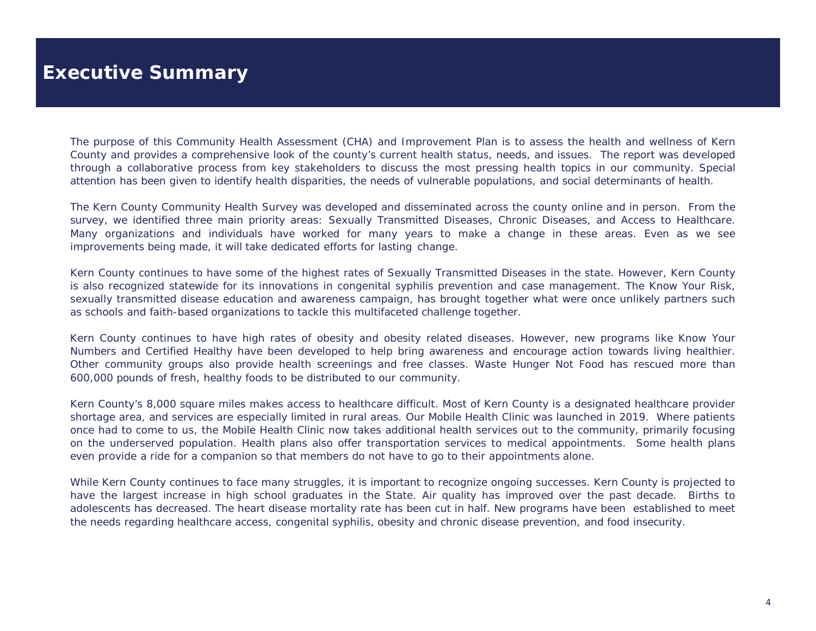## **Executive Summary**

The purpose of this Community Health Assessment (CHA) and Improvement Plan is to assess the health and wellness of Kern County and provides a comprehensive look of the county's current health status, needs, and issues. The report was developed through a collaborative process from key stakeholders to discuss the most pressing health topics in our community. Special attention has been given to identify health disparities, the needs of vulnerable populations, and social determinants of health.

The Kern County Community Health Survey was developed and disseminated across the county online and in person. From the survey, we identified three main priority areas: Sexually Transmitted Diseases, Chronic Diseases, and Access to Healthcare. Many organizations and individuals have worked for many years to make a change in these areas. Even as we see improvements being made, it will take dedicated efforts for lasting change.

Kern County continues to have some of the highest rates of Sexually Transmitted Diseases in the state. However, Kern County is also recognized statewide for its innovations in congenital syphilis prevention and case management. The Know Your Risk, sexually transmitted disease education and awareness campaign, has brought together what were once unlikely partners such as schools and faith-based organizations to tackle this multifaceted challenge together.

Kern County continues to have high rates of obesity and obesity related diseases. However, new programs like Know Your Numbers and Certified Healthy have been developed to help bring awareness and encourage action towards living healthier. Other community groups also provide health screenings and free classes. Waste Hunger Not Food has rescued more than 600,000 pounds of fresh, healthy foods to be distributed to our community.

Kern County's 8,000 square miles makes access to healthcare difficult. Most of Kern County is a designated healthcare provider shortage area, and services are especially limited in rural areas. Our Mobile Health Clinic was launched in 2019. Where patients once had to come to us, the Mobile Health Clinic now takes additional health services out to the community, primarily focusing on the underserved population. Health plans also offer transportation services to medical appointments. Some health plans even provide a ride for a companion so that members do not have to go to their appointments alone.

While Kern County continues to face many struggles, it is important to recognize ongoing successes. Kern County is projected to have the largest increase in high school graduates in the State. Air quality has improved over the past decade. Births to adolescents has decreased. The heart disease mortality rate has been cut in half. New programs have been established to meet the needs regarding healthcare access, congenital syphilis, obesity and chronic disease prevention, and food insecurity.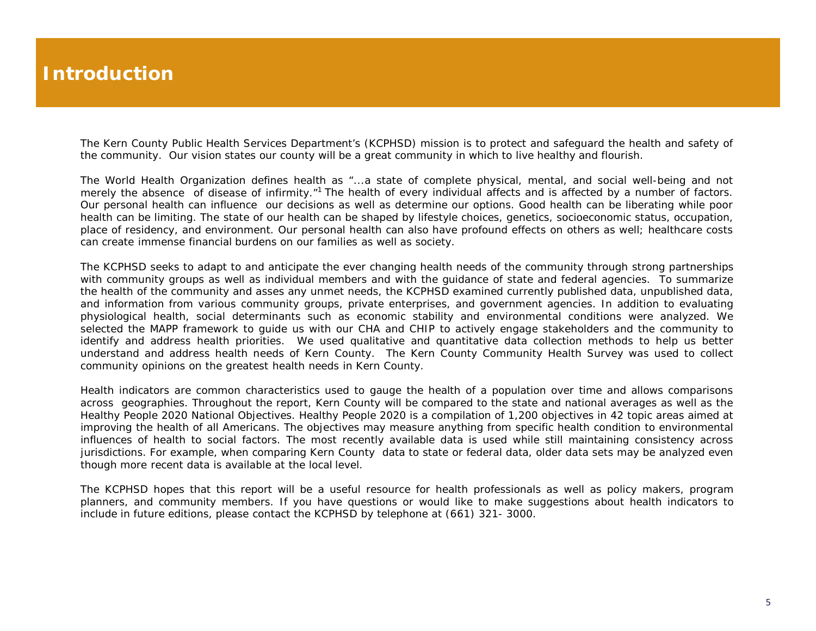## **Introduction**

The Kern County Public Health Services Department's (KCPHSD) mission is to protect and safeguard the health and safety of the community. Our vision states our county will be a great community in which to live healthy and flourish.

The World Health Organization defines health as "...a state of complete physical, mental, and social well-being and not merely the absence of disease of infirmity."<sup>1</sup> The health of every individual affects and is affected by a number of factors. Our personal health can influence our decisions as well as determine our options. Good health can be liberating while poor health can be limiting. The state of our health can be shaped by lifestyle choices, genetics, socioeconomic status, occupation, place of residency, and environment. Our personal health can also have profound effects on others as well; healthcare costs can create immense financial burdens on our families as well as society.

The KCPHSD seeks to adapt to and anticipate the ever changing health needs of the community through strong partnerships with community groups as well as individual members and with the guidance of state and federal agencies. To summarize the health of the community and asses any unmet needs, the KCPHSD examined currently published data, unpublished data, and information from various community groups, private enterprises, and government agencies. In addition to evaluating physiological health, social determinants such as economic stability and environmental conditions were analyzed. We selected the MAPP framework to guide us with our CHA and CHIP to actively engage stakeholders and the community to identify and address health priorities. We used qualitative and quantitative data collection methods to help us better understand and address health needs of Kern County. The Kern County Community Health Survey was used to collect community opinions on the greatest health needs in Kern County.

Health indicators are common characteristics used to gauge the health of a population over time and allows comparisons across geographies. Throughout the report, Kern County will be compared to the state and national averages as well as the Healthy People 2020 National Objectives. Healthy People 2020 is a compilation of 1,200 objectives in 42 topic areas aimed at improving the health of all Americans. The objectives may measure anything from specific health condition to environmental influences of health to social factors. The most recently available data is used while still maintaining consistency across jurisdictions. For example, when comparing Kern County data to state or federal data, older data sets may be analyzed even though more recent data is available at the local level.

The KCPHSD hopes that this report will be a useful resource for health professionals as well as policy makers, program planners, and community members. If you have questions or would like to make suggestions about health indicators to include in future editions, please contact the KCPHSD by telephone at (661) 321- 3000.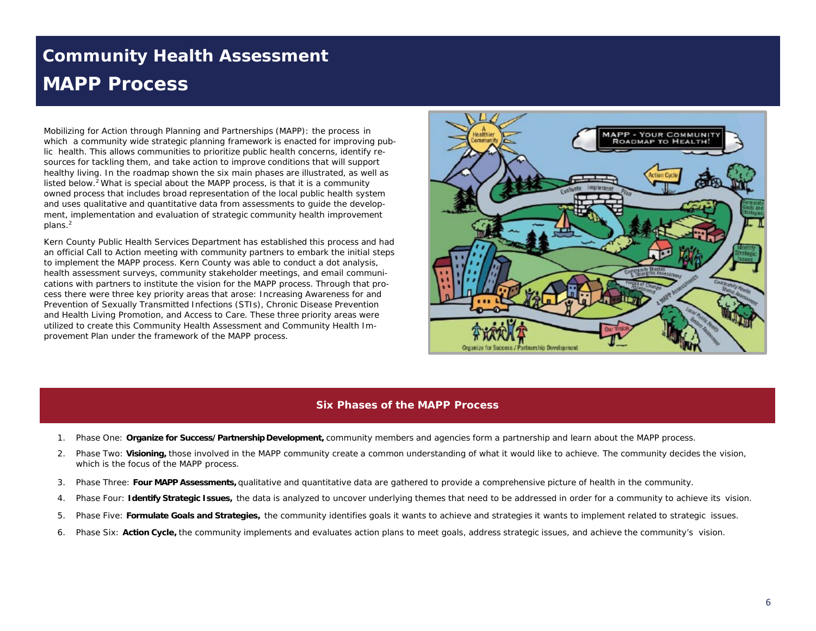## *Community Health Assessment* **MAPP Process**

Mobilizing for Action through Planning and Partnerships (MAPP): the process in which a community wide strategic planning framework is enacted for improving public health. This allows communities to prioritize public health concerns, identify resources for tackling them, and take action to improve conditions that will support healthy living. In the roadmap shown the six main phases are illustrated, as well as listed below.<sup>2</sup> What is special about the MAPP process, is that it is a community owned process that includes broad representation of the local public health system and uses qualitative and quantitative data from assessments to guide the development, implementation and evaluation of strategic community health improvement plans.2

Kern County Public Health Services Department has established this process and had an official Call to Action meeting with community partners to embark the initial steps to implement the MAPP process. Kern County was able to conduct a dot analysis, health assessment surveys, community stakeholder meetings, and email communications with partners to institute the vision for the MAPP process. Through that process there were three key priority areas that arose: Increasing Awareness for and Prevention of Sexually Transmitted Infections (STIs), Chronic Disease Prevention and Health Living Promotion, and Access to Care. These three priority areas were utilized to create this Community Health Assessment and Community Health Improvement Plan under the framework of the MAPP process.



#### **Six Phases of the MAPP Process**

- 1. Phase One: **Organize for Success/Partnership Development,** community members and agencies form a partnership and learn about the MAPP process.
- 2. Phase Two: **Visioning,** those involved in the MAPP community create a common understanding of what it would like to achieve. The community decides the vision, which is the focus of the MAPP process.
- 3. Phase Three: **Four MAPP Assessments,** qualitative and quantitative data are gathered to provide a comprehensive picture of health in the community.
- 4. Phase Four: **Identify Strategic Issues,** the data is analyzed to uncover underlying themes that need to be addressed in order for a community to achieve its vision.
- 5. Phase Five: **Formulate Goals and Strategies,** the community identifies goals it wants to achieve and strategies it wants to implement related to strategic issues.
- 6. Phase Six: **Action Cycle,** the community implements and evaluates action plans to meet goals, address strategic issues, and achieve the community's vision.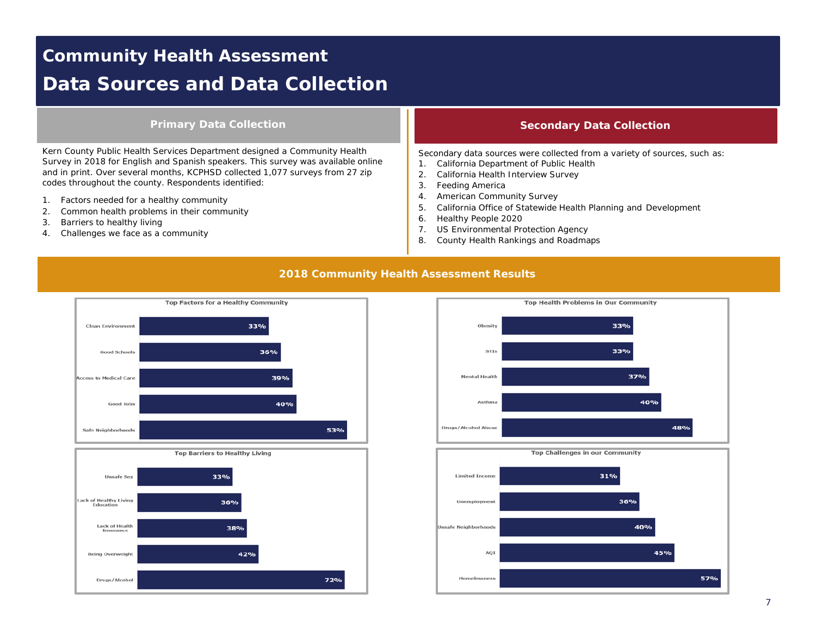## *Community Health Assessment* **Data Sources and Data Collection**

### **Primary Data Collection**

Kern County Public Health Services Department designed a Community Health Survey in 2018 for English and Spanish speakers. This survey was available online and in print. Over several months, KCPHSD collected 1,077 surveys from 27 zip codes throughout the county. Respondents identified:

- 1. Factors needed for a healthy community
- 2. Common health problems in their community
- 3. Barriers to healthy living
- 4. Challenges we face as a community

#### **Secondary Data Collection**

Secondary data sources were collected from a variety of sources, such as:

- 1. California Department of Public Health
- 2. California Health Interview Survey
- 3. Feeding America
- 4. American Community Survey
- 5. California Office of Statewide Health Planning and Development
- 6. Healthy People 2020
- 7. US Environmental Protection Agency
- 8. County Health Rankings and Roadmaps

#### **2018 Community Health Assessment Results**





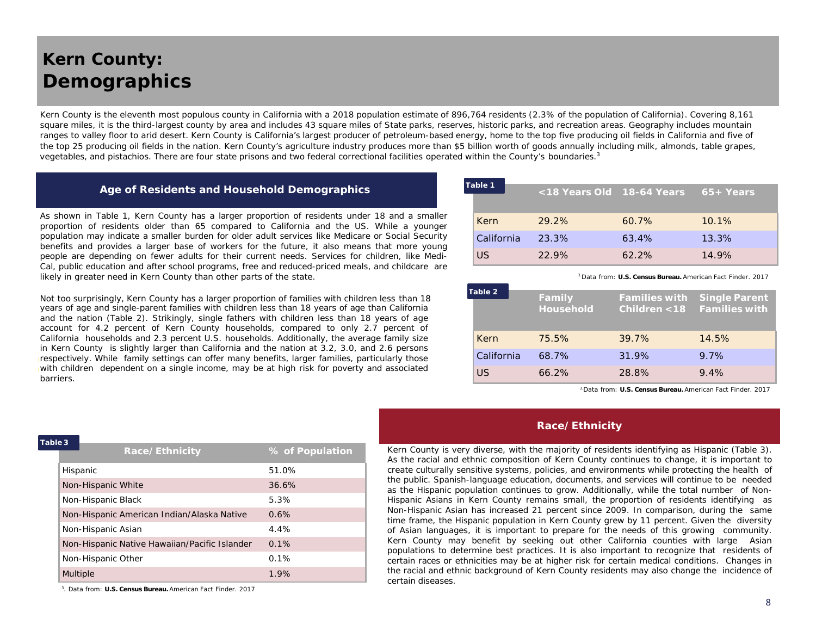## *Kern County:* **Demographics**

Kern County is the eleventh most populous county in California with a 2018 population estimate of 896,764 residents (2.3% of the population of California). Covering 8,161 square miles, it is the third-largest county by area and includes 43 square miles of State parks, reserves, historic parks, and recreation areas. Geography includes mountain ranges to valley floor to arid desert. Kern County is California's largest producer of petroleum-based energy, home to the top five producing oil fields in California and five of the top 25 producing oil fields in the nation. Kern County's agriculture industry produces more than \$5 billion worth of goods annually including milk, almonds, table grapes, vegetables, and pistachios. There are four state prisons and two federal correctional facilities operated within the County's boundaries.3

| Age of Residents and Household Demographics |  |  |
|---------------------------------------------|--|--|
|                                             |  |  |

As shown in Table 1, Kern County has a larger proportion of residents under 18 and a smaller proportion of residents older than 65 compared to California and the US. While a younger population may indicate a smaller burden for older adult services like Medicare or Social Security benefits and provides a larger base of workers for the future, it also means that more young people are depending on fewer adults for their current needs. Services for children, like Medi-Cal, public education and after school programs, free and reduced-priced meals, and childcare are likely in greater need in Kern County than other parts of the state.

Not too surprisingly, Kern County has a larger proportion of families with children less than 18 years of age and single-parent families with children less than 18 years of age than California and the nation (Table 2). Strikingly, single fathers with children less than 18 years of age account for 4.2 percent of Kern County households, compared to only 2.7 percent of California households and 2.3 percent U.S. households. Additionally, the average family size in Kern County is slightly larger than California and the nation at 3.2, 3.0, and 2.6 persons respectively. While family settings can offer many benefits, larger families, particularly those with children dependent on a single income, may be at high risk for poverty and associated barriers.

| Table 1    |  | <18 Years Old 18-64 Years |          | $65+Years$ |
|------------|--|---------------------------|----------|------------|
| Kern       |  | 29.2%                     | 60.7%    | $10.1\%$   |
| California |  | 23.3%                     | 63.4%    | 13.3%      |
| US.        |  | 22.9%                     | $62.2\%$ | 14.9%      |

3.Data from: **U.S. Census Bureau.** *American Fact Finder.* 2017

|  | Table 2    | Family<br><b>Household</b> | <b>Families with Single Parent</b><br>Children <18 Families with |       |
|--|------------|----------------------------|------------------------------------------------------------------|-------|
|  | Kern       | 75.5%                      | 39.7%                                                            | 14.5% |
|  | California | 68.7%                      | 31.9%                                                            | 9.7%  |
|  | US         | $66.2\%$                   | 28.8%                                                            | 9.4%  |

3.Data from: **U.S. Census Bureau.** *American Fact Finder.* 2017

#### **Race/Ethnicity**

Kern County is very diverse, with the majority of residents identifying as Hispanic (Table 3). As the racial and ethnic composition of Kern County continues to change, it is important to create culturally sensitive systems, policies, and environments while protecting the health of the public. Spanish-language education, documents, and services will continue to be needed as the Hispanic population continues to grow. Additionally, while the total number of Non-Hispanic Asians in Kern County remains small, the proportion of residents identifying as Non-Hispanic Asian has increased 21 percent since 2009. In comparison, during the same time frame, the Hispanic population in Kern County grew by 11 percent. Given the diversity of Asian languages, it is important to prepare for the needs of this growing community. Kern County may benefit by seeking out other California counties with large Asian populations to determine best practices. It is also important to recognize that residents of certain races or ethnicities may be at higher risk for certain medical conditions. Changes in the racial and ethnic background of Kern County residents may also change the incidence of certain diseases.

| Table 3 |  |  |
|---------|--|--|
|         |  |  |

| leq 3 |                                               |                 |
|-------|-----------------------------------------------|-----------------|
|       | Race/Ethnicity                                | % of Population |
|       | Hispanic                                      | 51.0%           |
|       | Non-Hispanic White                            | 36.6%           |
|       | Non-Hispanic Black                            | 5.3%            |
|       | Non-Hispanic American Indian/Alaska Native    | 0.6%            |
|       | Non-Hispanic Asian                            | 4.4%            |
|       | Non-Hispanic Native Hawaiian/Pacific Islander | 0.1%            |
|       | Non-Hispanic Other                            | 0.1%            |
|       | <b>Multiple</b>                               | 1.9%            |

3. Data from: **U.S. Census Bureau.** *American Fact Finder.* 2017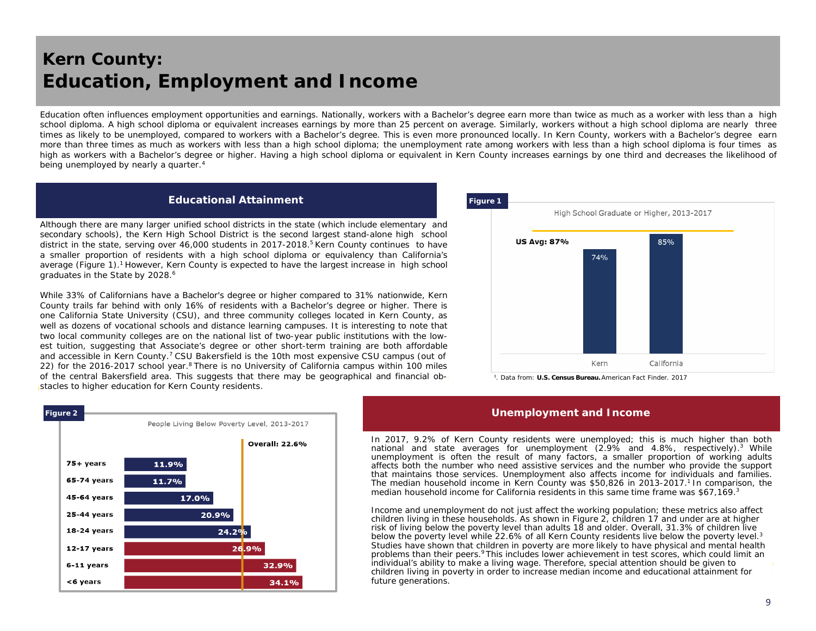## *Kern County:* **Education, Employment and Income**

Education often influences employment opportunities and earnings. Nationally, workers with a Bachelor's degree earn more than twice as much as a worker with less than a high school diploma. A high school diploma or equivalent increases earnings by more than 25 percent on average. Similarly, workers without a high school diploma are nearly three times as likely to be unemployed, compared to workers with a Bachelor's degree. This is even more pronounced locally. In Kern County, workers with a Bachelor's degree earn more than three times as much as workers with less than a high school diploma; the unemployment rate among workers with less than a high school diploma is four times as high as workers with a Bachelor's degree or higher. Having a high school diploma or equivalent in Kern County increases earnings by one third and decreases the likelihood of being unemployed by nearly a quarter.<sup>4</sup>

#### **Educational Attainment**

Although there are many larger unified school districts in the state (which include elementary and secondary schools), the Kern High School District is the second largest stand-alone high school district in the state, serving over 46,000 students in 2017-2018. <sup>5</sup> Kern County continues to have a smaller proportion of residents with a high school diploma or equivalency than California's average (Figure 1).<sup>1</sup> However, Kern County is expected to have the largest increase in high school graduates in the State by 2028. 6

While 33% of Californians have a Bachelor's degree or higher compared to 31% nationwide, Kern County trails far behind with only 16% of residents with a Bachelor's degree or higher. There is one California State University (CSU), and three community colleges located in Kern County, as well as dozens of vocational schools and distance learning campuses. It is interesting to note that two local community colleges are on the national list of two-year public institutions with the lowest tuition, suggesting that Associate's degree or other short-term training are both affordable and accessible in Kern County.<sup>7</sup> CSU Bakersfield is the 10th most expensive CSU campus (out of 22) for the 2016-2017 school year.<sup>8</sup> There is no University of California campus within 100 miles of the central Bakersfield area. This suggests that there may be geographical and financial obstacles to higher education for Kern County residents.



3 . Data from: **U.S. Census Bureau.** *American Fact Finder.* 2017

#### **Unemployment and Income**

In 2017, 9.2% of Kern County residents were unemployed; this is much higher than both national and state averages for unemployment (2.9% and 4.8%, respectively). <sup>3</sup> While unemployment is often the result of many factors, a smaller proportion of working adults affects both the number who need assistive services and the number who provide the support that maintains those services. Unemployment also affects income for individuals and families. The median household income in Kern County was \$50,826 in 2013-2017. <sup>1</sup> In comparison, the median household income for California residents in this same time frame was \$67,169.<sup>3</sup>

Income and unemployment do not just affect the working population; these metrics also affect children living in these households. As shown in Figure 2, children 17 and under are at higher risk of living below the poverty level than adults 18 and older. Overall, 31.3% of children live below the poverty level while 22.6% of all Kern County residents live below the poverty level.<sup>3</sup> Studies have shown that children in poverty are more likely to have physical and mental health problems than their peers.9 This includes lower achievement in test scores, which could limit an individual's ability to make a living wage. Therefore, special attention should be given to children living in poverty in order to increase median income and educational attainment for future generations.

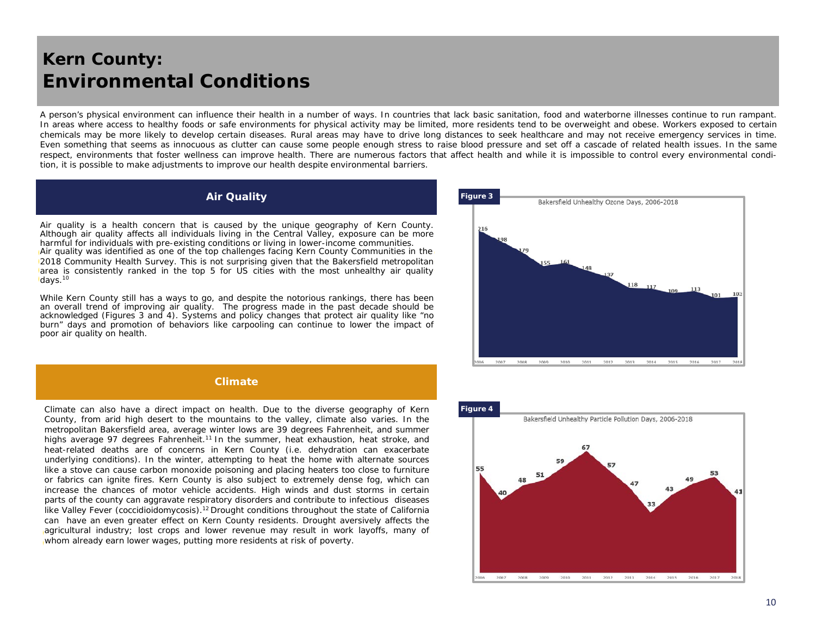### *Kern County:* **Environmental Conditions**

A person's physical environment can influence their health in a number of ways. In countries that lack basic sanitation, food and waterborne illnesses continue to run rampant. In areas where access to healthy foods or safe environments for physical activity may be limited, more residents tend to be overweight and obese. Workers exposed to certain chemicals may be more likely to develop certain diseases. Rural areas may have to drive long distances to seek healthcare and may not receive emergency services in time. Even something that seems as innocuous as clutter can cause some people enough stress to raise blood pressure and set off a cascade of related health issues. In the same respect, environments that foster wellness can improve health. There are numerous factors that affect health and while it is impossible to control every environmental condition, it is possible to make adjustments to improve our health despite environmental barriers.

#### **Air Quality**

Air quality is a health concern that is caused by the unique geography of Kern County. Although air quality affects all individuals living in the Central Valley, exposure can be more harmful for individuals with pre-existing conditions or living in lower-income communities. Air quality was identified as one of the top challenges facing Kern County Communities in the 2018 Community Health Survey. This is not surprising given that the Bakersfield metropolitan area is consistently ranked in the top 5 for US cities with the most unhealthy air quality days.<sup>10</sup>

While Kern County still has a ways to go, and despite the notorious rankings, there has been an overall trend of improving air quality. The progress made in the past decade should be acknowledged (Figures 3 and 4). Systems and policy changes that protect air quality like "no burn" days and promotion of behaviors like carpooling can continue to lower the impact of poor air quality on health.



#### **Climate**

Climate can also have a direct impact on health. Due to the diverse geography of Kern County, from arid high desert to the mountains to the valley, climate also varies. In the metropolitan Bakersfield area, average winter lows are 39 degrees Fahrenheit, and summer highs average 97 degrees Fahrenheit.<sup>11</sup> In the summer, heat exhaustion, heat stroke, and heat-related deaths are of concerns in Kern County (i.e. dehydration can exacerbate underlying conditions). In the winter, attempting to heat the home with alternate sources like a stove can cause carbon monoxide poisoning and placing heaters too close to furniture or fabrics can ignite fires. Kern County is also subject to extremely dense fog, which can increase the chances of motor vehicle accidents. High winds and dust storms in certain parts of the county can aggravate respiratory disorders and contribute to infectious diseases like Valley Fever (*coccidioidomycosis*).<sup>12</sup> Drought conditions throughout the state of California can have an even greater effect on Kern County residents. Drought aversively affects the agricultural industry; lost crops and lower revenue may result in work layoffs, many of whom already earn lower wages, putting more residents at risk of poverty.

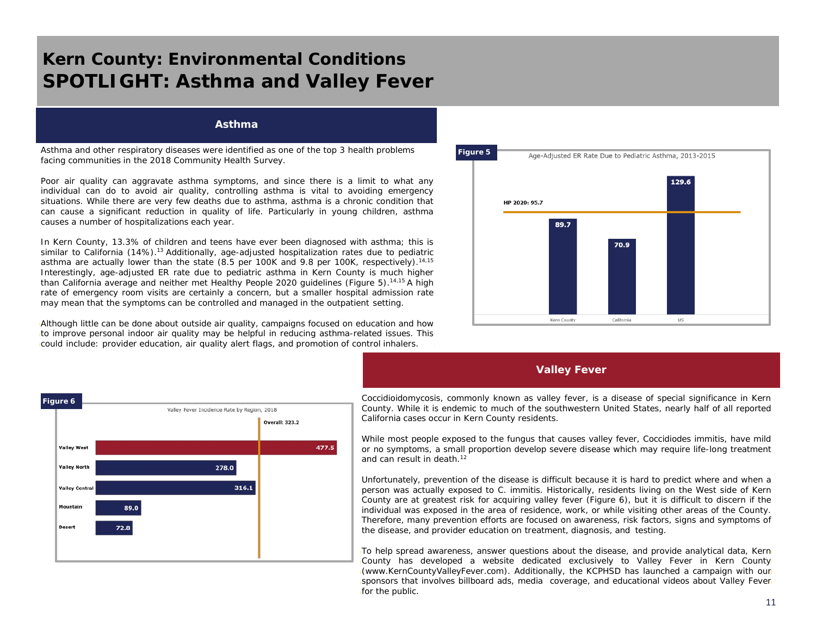## *Kern County: Environmental Conditions* **SPOTLIGHT: Asthma and Valley Fever**

#### **Asthma**

Asthma and other respiratory diseases were identified as one of the top 3 health problems facing communities in the 2018 Community Health Survey.

Poor air quality can aggravate asthma symptoms, and since there is a limit to what any individual can do to avoid air quality, controlling asthma is vital to avoiding emergency situations. While there are very few deaths due to asthma, asthma is a chronic condition that can cause a significant reduction in quality of life. Particularly in young children, asthma causes a number of hospitalizations each year.

In Kern County, 13.3% of children and teens have ever been diagnosed with asthma; this is similar to California (14%).<sup>13</sup> Additionally, age-adjusted hospitalization rates due to pediatric asthma are actually lower than the state (8.5 per 100K and 9.8 per 100K, respectively).<sup>14,15</sup> Interestingly, age-adjusted ER rate due to pediatric asthma in Kern County is much higher than California average and neither met Healthy People 2020 guidelines (Figure 5). 14,15 A high rate of emergency room visits are certainly a concern, but a smaller hospital admission rate may mean that the symptoms can be controlled and managed in the outpatient setting.

Although little can be done about outside air quality, campaigns focused on education and how to improve personal indoor air quality may be helpful in reducing asthma-related issues. This could include: provider education, air quality alert flags, and promotion of control inhalers.



### **Valley Fever**



Coccidioidomycosis, commonly known as valley fever, is a disease of special significance in Kern County. While it is endemic to much of the southwestern United States, nearly half of all reported California cases occur in Kern County residents.

While most people exposed to the fungus that causes valley fever, *Coccidiodes immitis*, have mild or no symptoms, a small proportion develop severe disease which may require life-long treatment and can result in death. 12

Unfortunately, prevention of the disease is difficult because it is hard to predict where and when a person was actually exposed to *C. immitis*. Historically, residents living on the West side of Kern County are at greatest risk for acquiring valley fever (Figure 6), but it is difficult to discern if the individual was exposed in the area of residence, work, or while visiting other areas of the County. Therefore, many prevention efforts are focused on awareness, risk factors, signs and symptoms of the disease, and provider education on treatment, diagnosis, and testing.

To help spread awareness, answer questions about the disease, and provide analytical data, Kern County has developed a website dedicated exclusively to Valley Fever in Kern County (www.KernCountyValleyFever.com). Additionally, the KCPHSD has launched a campaign with our sponsors that involves billboard ads, media coverage, and educational videos about Valley Fever for the public.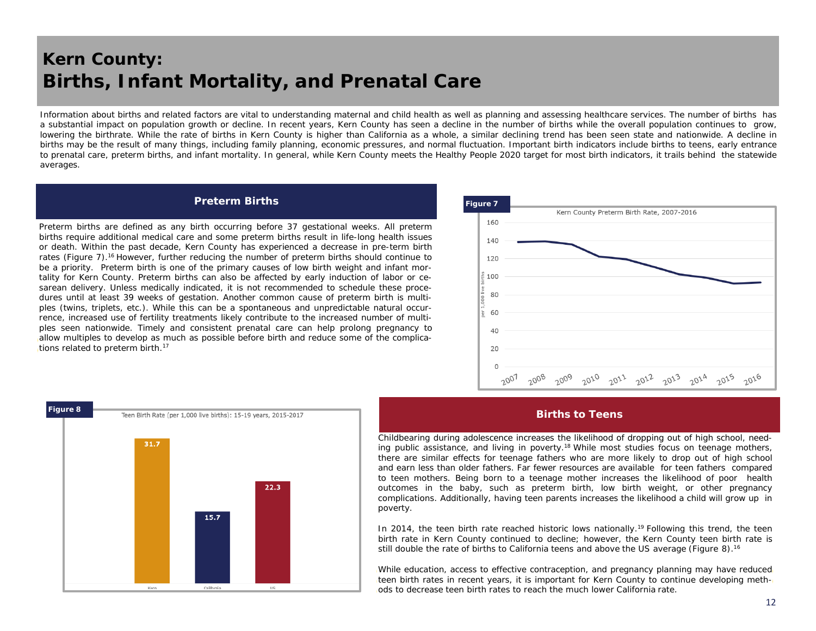## *Kern County:* **Births, Infant Mortality, and Prenatal Care**

Information about births and related factors are vital to understanding maternal and child health as well as planning and assessing healthcare services. The number of births has a substantial impact on population growth or decline. In recent years, Kern County has seen a decline in the number of births while the overall population continues to grow, lowering the birthrate. While the rate of births in Kern County is higher than California as a whole, a similar declining trend has been seen state and nationwide. A decline in births may be the result of many things, including family planning, economic pressures, and normal fluctuation. Important birth indicators include births to teens, early entrance to prenatal care, preterm births, and infant mortality. In general, while Kern County meets the Healthy People 2020 target for most birth indicators, it trails behind the statewide averages.

#### **Preterm Births**

Preterm births are defined as any birth occurring before 37 gestational weeks. All preterm births require additional medical care and some preterm births result in life-long health issues or death. Within the past decade, Kern County has experienced a decrease in pre-term birth rates (Figure 7).<sup>16</sup> However, further reducing the number of preterm births should continue to be a priority. Preterm birth is one of the primary causes of low birth weight and infant mortality for Kern County. Preterm births can also be affected by early induction of labor or cesarean delivery. Unless medically indicated, it is not recommended to schedule these procedures until at least 39 weeks of gestation. Another common cause of preterm birth is multiples (twins, triplets, etc.). While this can be a spontaneous and unpredictable natural occurrence, increased use of fertility treatments likely contribute to the increased number of multiples seen nationwide. Timely and consistent prenatal care can help prolong pregnancy to allow multiples to develop as much as possible before birth and reduce some of the complications related to preterm birth.<sup>17</sup>





#### **Births to Teens**

Childbearing during adolescence increases the likelihood of dropping out of high school, needing public assistance, and living in poverty.<sup>18</sup> While most studies focus on teenage mothers, there are similar effects for teenage fathers who are more likely to drop out of high school and earn less than older fathers. Far fewer resources are available for teen fathers compared to teen mothers. Being born to a teenage mother increases the likelihood of poor health outcomes in the baby, such as preterm birth, low birth weight, or other pregnancy complications. Additionally, having teen parents increases the likelihood a child will grow up in poverty.

In 2014, the teen birth rate reached historic lows nationally.<sup>19</sup> Following this trend, the teen birth rate in Kern County continued to decline; however, the Kern County teen birth rate is still double the rate of births to California teens and above the US average (Figure 8).<sup>16</sup>

While education, access to effective contraception, and pregnancy planning may have reduced teen birth rates in recent years, it is important for Kern County to continue developing methods to decrease teen birth rates to reach the much lower California rate.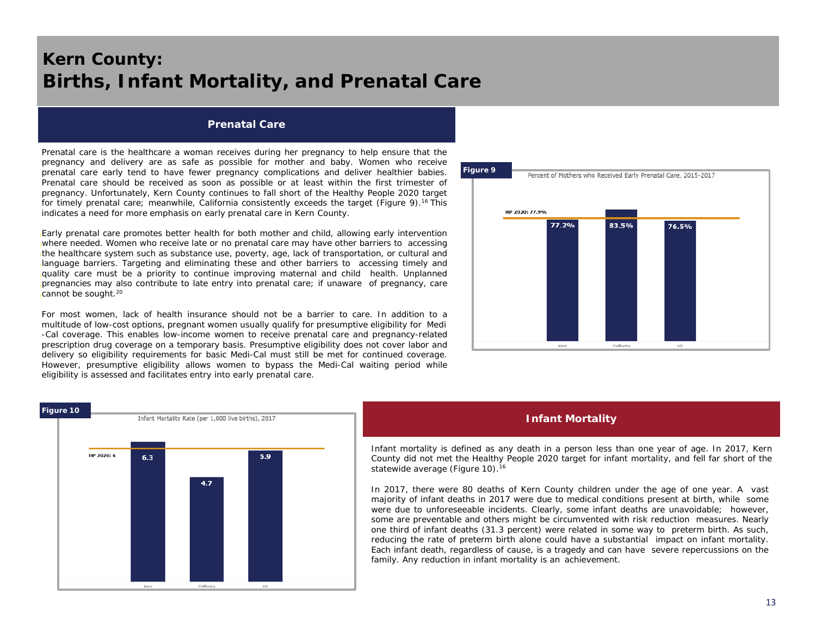## *Kern County:* **Births, Infant Mortality, and Prenatal Care**

#### **Prenatal Care**

Prenatal care is the healthcare a woman receives during her pregnancy to help ensure that the pregnancy and delivery are as safe as possible for mother and baby. Women who receive prenatal care early tend to have fewer pregnancy complications and deliver healthier babies. Prenatal care should be received as soon as possible or at least within the first trimester of pregnancy. Unfortunately, Kern County continues to fall short of the Healthy People 2020 target for timely prenatal care; meanwhile, California consistently exceeds the target (Figure 9).<sup>16</sup> This indicates a need for more emphasis on early prenatal care in Kern County.

Early prenatal care promotes better health for both mother and child, allowing early intervention where needed. Women who receive late or no prenatal care may have other barriers to accessing the healthcare system such as substance use, poverty, age, lack of transportation, or cultural and language barriers. Targeting and eliminating these and other barriers to accessing timely and quality care must be a priority to continue improving maternal and child health. Unplanned pregnancies may also contribute to late entry into prenatal care; if unaware of pregnancy, care cannot be sought. 20

For most women, lack of health insurance should not be a barrier to care. In addition to a multitude of low-cost options, pregnant women usually qualify for presumptive eligibility for Medi -Cal coverage. This enables low-income women to receive prenatal care and pregnancy-related prescription drug coverage on a temporary basis. Presumptive eligibility does not cover labor and delivery so eligibility requirements for basic Medi-Cal must still be met for continued coverage. However, presumptive eligibility allows women to bypass the Medi-Cal waiting period while eligibility is assessed and facilitates entry into early prenatal care.



#### **Infant Mortality**

Infant mortality is defined as any death in a person less than one year of age. In 2017, Kern County did not met the Healthy People 2020 target for infant mortality, and fell far short of the statewide average (Figure 10).<sup>16</sup>

In 2017, there were 80 deaths of Kern County children under the age of one year. A vast majority of infant deaths in 2017 were due to medical conditions present at birth, while some were due to unforeseeable incidents. Clearly, some infant deaths are unavoidable; however, some are preventable and others might be circumvented with risk reduction measures. Nearly one third of infant deaths (31.3 percent) were related in some way to preterm birth. As such, reducing the rate of preterm birth alone could have a substantial impact on infant mortality. Each infant death, regardless of cause, is a tragedy and can have severe repercussions on the family. Any reduction in infant mortality is an achievement.

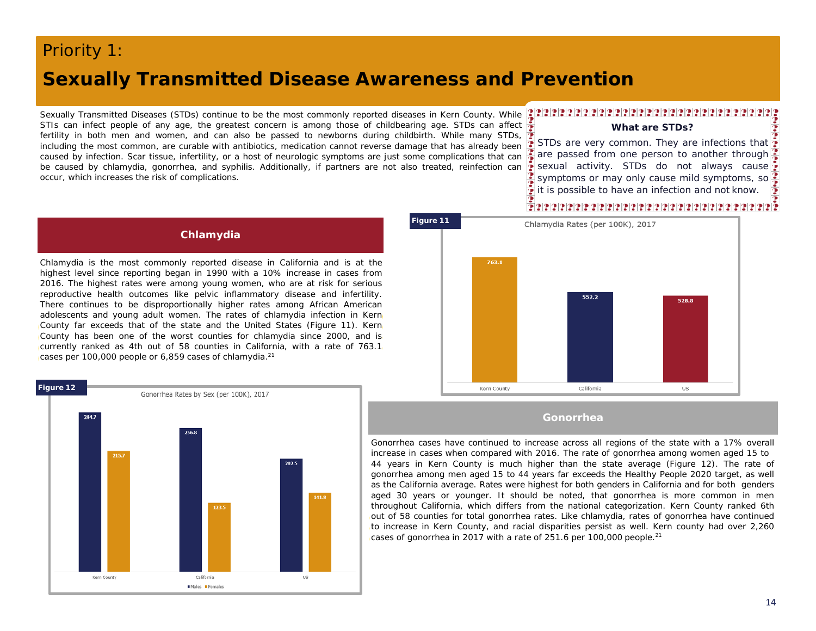### *Priority 1:*

### **Sexually Transmitted Disease Awareness and Prevention**

Sexually Transmitted Diseases (STDs) continue to be the most commonly reported diseases in Kern County. While STIs can infect people of any age, the greatest concern is among those of childbearing age. STDs can affect fertility in both men and women, and can also be passed to newborns during childbirth. While many STDs, including the most common, are curable with antibiotics, medication cannot reverse damage that has already been caused by infection. Scar tissue, infertility, or a host of neurologic symptoms are just some complications that can be caused by chlamydia, gonorrhea, and syphilis. Additionally, if partners are not also treated, reinfection can occur, which increases the risk of complications.

### 

#### **What are STDs?**

STDs are very common. They are infections that are passed from one person to another through **Sexual activity. STDs do not always cause** symptoms or may only cause mild symptoms, so  $\frac{1}{2}$  it is possible to have an infection and not know.

### 72222222222222222222222222222222

### **Chlamydia**

Chlamydia is the most commonly reported disease in California and is at the highest level since reporting began in 1990 with a 10% increase in cases from 2016. The highest rates were among young women, who are at risk for serious reproductive health outcomes like pelvic inflammatory disease and infertility. There continues to be disproportionally higher rates among African American adolescents and young adult women. The rates of chlamydia infection in Kern County far exceeds that of the state and the United States (Figure 11). Kern County has been one of the worst counties for chlamydia since 2000, and is currently ranked as 4th out of 58 counties in California, with a rate of 763.1 cases per 100,000 people or 6,859 cases of chlamydia. $^{21}$ 





#### **Gonorrhea**

Gonorrhea cases have continued to increase across all regions of the state with a 17% overall increase in cases when compared with 2016. The rate of gonorrhea among women aged 15 to 44 years in Kern County is much higher than the state average (Figure 12). The rate of gonorrhea among men aged 15 to 44 years far exceeds the Healthy People 2020 target, as well as the California average. Rates were highest for both genders in California and for both genders aged 30 years or younger. It should be noted, that gonorrhea is more common in men throughout California, which differs from the national categorization. Kern County ranked 6th out of 58 counties for total gonorrhea rates. Like chlamydia, rates of gonorrhea have continued to increase in Kern County, and racial disparities persist as well. Kern county had over 2,260 cases of gonorrhea in 2017 with a rate of 251.6 per 100,000 people. 21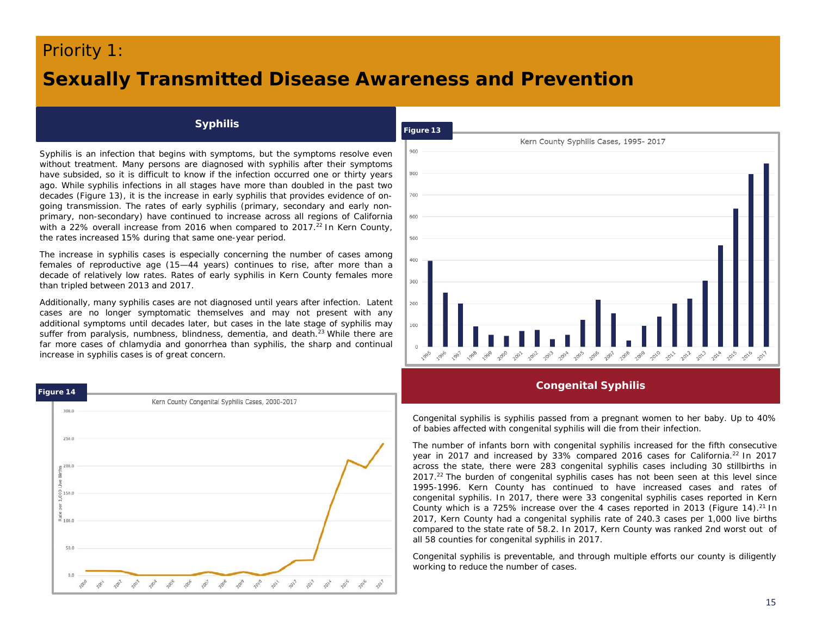### *Priority 1:*

## **Sexually Transmitted Disease Awareness and Prevention**

### **Syphilis**

Syphilis is an infection that begins with symptoms, but the symptoms resolve even without treatment. Many persons are diagnosed with syphilis after their symptoms have subsided, so it is difficult to know if the infection occurred one or thirty years ago. While syphilis infections in all stages have more than doubled in the past two decades (Figure 13), it is the increase in early syphilis that provides evidence of ongoing transmission. The rates of early syphilis (primary, secondary and early nonprimary, non-secondary) have continued to increase across all regions of California with a 22% overall increase from 2016 when compared to 2017.<sup>22</sup> In Kern County, the rates increased 15% during that same one-year period.

The increase in syphilis cases is especially concerning the number of cases among females of reproductive age (15—44 years) continues to rise, after more than a decade of relatively low rates. Rates of early syphilis in Kern County females more than tripled between 2013 and 2017.

Additionally, many syphilis cases are not diagnosed until years after infection. Latent cases are no longer symptomatic themselves and may not present with any additional symptoms until decades later, but cases in the late stage of syphilis may suffer from paralysis, numbness, blindness, dementia, and death.<sup>23</sup> While there are far more cases of chlamydia and gonorrhea than syphilis, the sharp and continual increase in syphilis cases is of great concern.





**Congenital Syphilis**

Congenital syphilis is syphilis passed from a pregnant women to her baby. Up to 40% of babies affected with congenital syphilis will die from their infection.

The number of infants born with congenital syphilis increased for the fifth consecutive year in 2017 and increased by 33% compared 2016 cases for California.<sup>22</sup> In 2017 across the state, there were 283 congenital syphilis cases including 30 stillbirths in 2017.<sup>22</sup> The burden of congenital syphilis cases has not been seen at this level since 1995-1996. Kern County has continued to have increased cases and rates of congenital syphilis. In 2017, there were 33 congenital syphilis cases reported in Kern County which is a 725% increase over the 4 cases reported in 2013 (Figure 14).<sup>21</sup> In 2017, Kern County had a congenital syphilis rate of 240.3 cases per 1,000 live births compared to the state rate of 58.2. In 2017, Kern County was ranked 2nd worst out of all 58 counties for congenital syphilis in 2017.

Congenital syphilis is preventable, and through multiple efforts our county is diligently working to reduce the number of cases.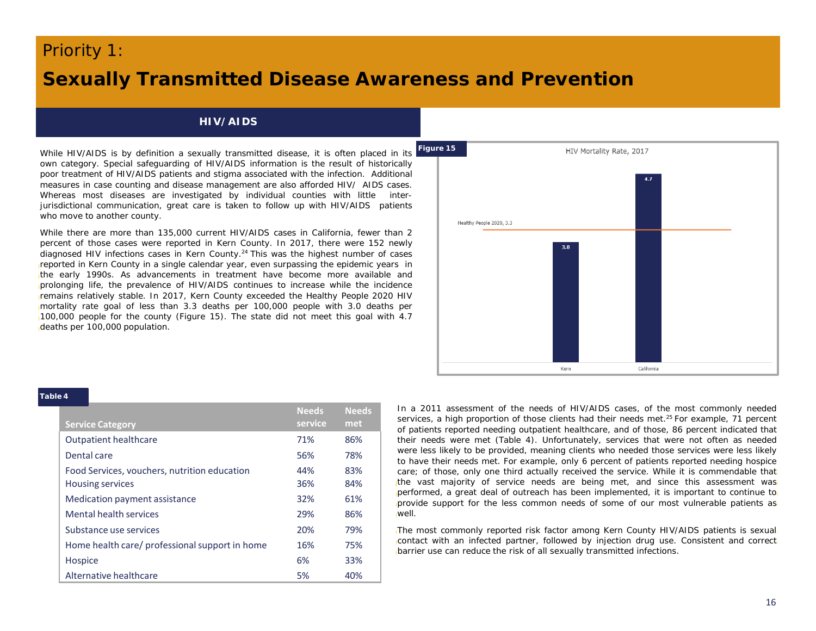### *Priority 1:*

### **Sexually Transmitted Disease Awareness and Prevention**

### **HIV/AIDS**

While HIV/AIDS is by definition a sexually transmitted disease, it is often placed in its own category. Special safeguarding of HIV/AIDS information is the result of historically poor treatment of HIV/AIDS patients and stigma associated with the infection. Additional measures in case counting and disease management are also afforded HIV/ AIDS cases. Whereas most diseases are investigated by individual counties with little interjurisdictional communication, great care is taken to follow up with HIV/AIDS patients who move to another county.

While there are more than 135,000 current HIV/AIDS cases in California, fewer than 2 percent of those cases were reported in Kern County. In 2017, there were 152 newly diagnosed HIV infections cases in Kern County.<sup>24</sup> This was the highest number of cases reported in Kern County in a single calendar year, even surpassing the epidemic years in the early 1990s. As advancements in treatment have become more available and prolonging life, the prevalence of HIV/AIDS continues to increase while the incidence remains relatively stable. In 2017, Kern County exceeded the Healthy People 2020 HIV mortality rate goal of less than 3.3 deaths per 100,000 people with 3.0 deaths per 100,000 people for the county (Figure 15). The state did not meet this goal with 4.7 deaths per 100,000 population.



#### **Table 4**

| <b>Service Category</b>                        | <b>Needs</b><br>service | <b>Needs</b><br>met |
|------------------------------------------------|-------------------------|---------------------|
| <b>Outpatient healthcare</b>                   | 71%                     | 86%                 |
| Dental care                                    | 56%                     | 78%                 |
| Food Services, vouchers, nutrition education   | 44%                     | 83%                 |
| <b>Housing services</b>                        | 36%                     | 84%                 |
| Medication payment assistance                  | 32%                     | 61%                 |
| Mental health services                         | 29%                     | 86%                 |
| Substance use services                         | 20%                     | 79%                 |
| Home health care/ professional support in home | 16%                     | 75%                 |
| Hospice                                        | 6%                      | 33%                 |
| Alternative healthcare                         | 5%                      | 40%                 |

In a 2011 assessment of the needs of HIV/AIDS cases, of the most commonly needed services, a high proportion of those clients had their needs met. <sup>25</sup> For example, 71 percent of patients reported needing outpatient healthcare, and of those, 86 percent indicated that their needs were met (Table 4). Unfortunately, services that were not often as needed were less likely to be provided, meaning clients who needed those services were less likely to have their needs met. For example, only 6 percent of patients reported needing hospice care; of those, only one third actually received the service. While it is commendable that the vast majority of service needs are being met, and since this assessment was performed, a great deal of outreach has been implemented, it is important to continue to provide support for the less common needs of some of our most vulnerable patients as well.

The most commonly reported risk factor among Kern County HIV/AIDS patients is sexual contact with an infected partner, followed by injection drug use. Consistent and correct barrier use can reduce the risk of all sexually transmitted infections.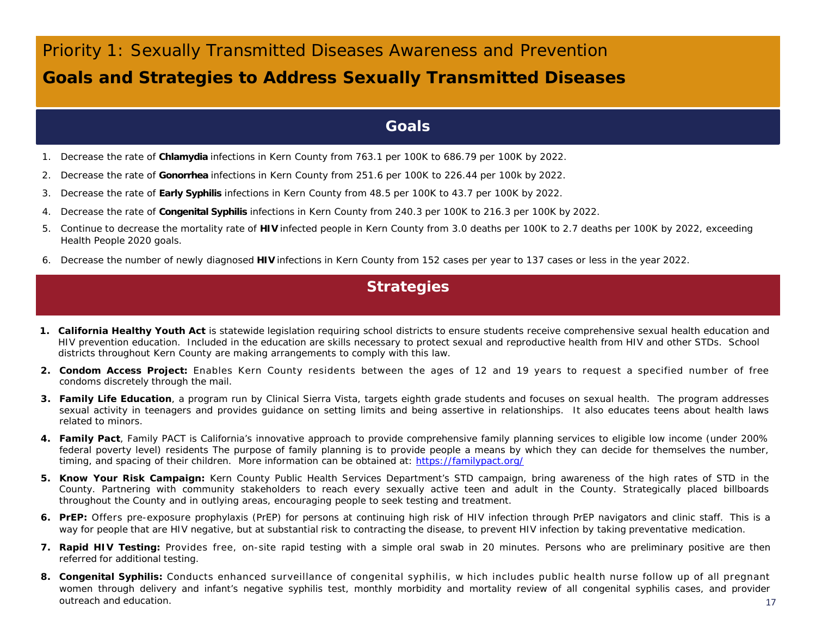## *Priority 1: Sexually Transmitted Diseases Awareness and Prevention* **Goals and Strategies to Address Sexually Transmitted Diseases**

### **Goals**

- 1. Decrease the rate of **Chlamydia** infections in Kern County from 763.1 per 100K to 686.79 per 100K by 2022.
- 2. Decrease the rate of **Gonorrhea** infections in Kern County from 251.6 per 100K to 226.44 per 100k by 2022.
- 3. Decrease the rate of **Early Syphilis** infections in Kern County from 48.5 per 100K to 43.7 per 100K by 2022.
- 4. Decrease the rate of **Congenital Syphilis** infections in Kern County from 240.3 per 100K to 216.3 per 100K by 2022.
- 5. Continue to decrease the mortality rate of **HIV** infected people in Kern County from 3.0 deaths per 100K to 2.7 deaths per 100K by 2022, exceeding Health People 2020 goals.
- 6. Decrease the number of newly diagnosed **HIV** infections in Kern County from 152 cases per year to 137 cases or less in the year 2022.

### **Strategies**

- *1. California Healthy Youth Act* is statewide legislation requiring school districts to ensure students receive comprehensive sexual health education and HIV prevention education. Included in the education are skills necessary to protect sexual and reproductive health from HIV and other STDs. School districts throughout Kern County are making arrangements to comply with this law.
- *2. Condom Access Project:* Enables Kern County residents between the ages of 12 and 19 years to request a specified number of free condoms discretely through the mail.
- *3. Family Life Education*, a program run by Clinical Sierra Vista, targets eighth grade students and focuses on sexual health. The program addresses sexual activity in teenagers and provides guidance on setting limits and being assertive in relationships. It also educates teens about health laws related to minors.
- *4. Family Pact*, Family PACT is California's innovative approach to provide comprehensive family planning services to eligible low income (under 200% federal poverty level) residents The purpose of family planning is to provide people a means by which they can decide for themselves the number, timing, and spacing of their children. More information can be obtained at: <https://familypact.org/>
- *5. Know Your Risk Campaign:* Kern County Public Health Services Department's STD campaign, bring awareness of the high rates of STD in the County. Partnering with community stakeholders to reach every sexually active teen and adult in the County. Strategically placed billboards throughout the County and in outlying areas, encouraging people to seek testing and treatment.
- *6. PrEP:* Offers pre-exposure prophylaxis (PrEP) for persons at continuing high risk of HIV infection through PrEP navigators and clinic staff. This is a way for people that are HIV negative, but at substantial risk to contracting the disease, to prevent HIV infection by taking preventative medication.
- *7. Rapid HIV Testing:* Provides free, on-site rapid testing with a simple oral swab in 20 minutes. Persons who are preliminary positive are then referred for additional testing.
- *8. Congenital Syphilis:* Conducts enhanced surveillance of congenital syphilis, w hich includes public health nurse follow up of all pregnant women through delivery and infant's negative syphilis test, monthly morbidity and mortality review of all congenital syphilis cases, and provider outreach and education.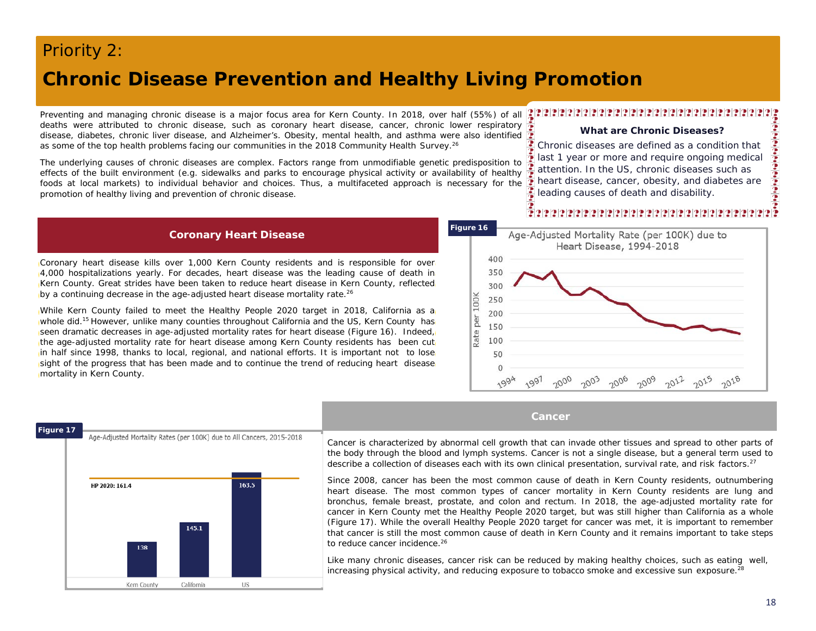### *Priority 2:*

**17 Figure 17**

### **Chronic Disease Prevention and Healthy Living Promotion**

Preventing and managing chronic disease is a major focus area for Kern County. In 2018, over half (55%) of all deaths were attributed to chronic disease, such as coronary heart disease, cancer, chronic lower respiratory disease, diabetes, chronic liver disease, and Alzheimer's. Obesity, mental health, and asthma were also identified as some of the top health problems facing our communities in the 2018 Community Health Survey.<sup>26</sup>

The underlying causes of chronic diseases are complex. Factors range from unmodifiable genetic predisposition to effects of the built environment (e.g. sidewalks and parks to encourage physical activity or availability of healthy foods at local markets) to individual behavior and choices. Thus, a multifaceted approach is necessary for the promotion of healthy living and prevention of chronic disease.

#### **Coronary Heart Disease**

Coronary heart disease kills over 1,000 Kern County residents and is responsible for over 4,000 hospitalizations yearly. For decades, heart disease was the leading cause of death in Kern County. Great strides have been taken to reduce heart disease in Kern County, reflected by a continuing decrease in the age-adjusted heart disease mortality rate.<sup>26</sup>

While Kern County failed to meet the Healthy People 2020 target in 2018, California as a whole did.<sup>15</sup> However, unlike many counties throughout California and the US, Kern County has seen dramatic decreases in age-adjusted mortality rates for heart disease (Figure 16). Indeed, the age-adjusted mortality rate for heart disease among Kern County residents has been cut in half since 1998, thanks to local, regional, and national efforts. It is important not to lose sight of the progress that has been made and to continue the trend of reducing heart disease mortality in Kern County.



#### **What are Chronic Diseases?**

Chronic diseases are defined as a condition that last 1 year or more and require ongoing medical attention. In the US, chronic diseases such as heart disease, cancer, obesity, and diabetes are leading causes of death and disability.

### 



#### **Cancer**



Cancer is characterized by abnormal cell growth that can invade other tissues and spread to other parts of the body through the blood and lymph systems. Cancer is not a single disease, but a general term used to describe a collection of diseases each with its own clinical presentation, survival rate, and risk factors.<sup>27</sup>

Since 2008, cancer has been the most common cause of death in Kern County residents, outnumbering heart disease. The most common types of cancer mortality in Kern County residents are lung and bronchus, female breast, prostate, and colon and rectum. In 2018, the age-adjusted mortality rate for cancer in Kern County met the Healthy People 2020 target, but was still higher than California as a whole (Figure 17). While the overall Healthy People 2020 target for cancer was met, it is important to remember that cancer is still the most common cause of death in Kern County and it remains important to take steps to reduce cancer incidence. 26

Like many chronic diseases, cancer risk can be reduced by making healthy choices, such as eating well, increasing physical activity, and reducing exposure to tobacco smoke and excessive sun exposure.28

18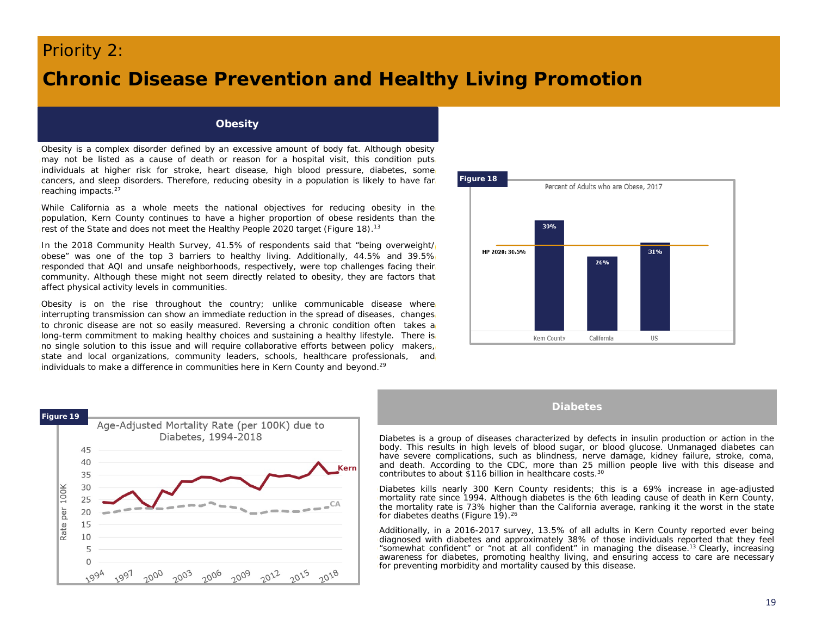### *Priority 2:*

### **Chronic Disease Prevention and Healthy Living Promotion**

#### **Obesity**

Obesity is a complex disorder defined by an excessive amount of body fat. Although obesity may not be listed as a cause of death or reason for a hospital visit, this condition puts individuals at higher risk for stroke, heart disease, high blood pressure, diabetes, some cancers, and sleep disorders. Therefore, reducing obesity in a population is likely to have far reaching impacts. 27

While California as a whole meets the national objectives for reducing obesity in the population, Kern County continues to have a higher proportion of obese residents than the rest of the State and does not meet the Healthy People 2020 target (Figure 18).<sup>13</sup>

In the 2018 Community Health Survey, 41.5% of respondents said that "being overweight/ obese" was one of the top 3 barriers to healthy living. Additionally, 44.5% and 39.5% responded that AQI and unsafe neighborhoods, respectively, were top challenges facing their community. Although these might not seem directly related to obesity, they are factors that affect physical activity levels in communities.

Obesity is on the rise throughout the country; unlike communicable disease where interrupting transmission can show an immediate reduction in the spread of diseases, changes to chronic disease are not so easily measured. Reversing a chronic condition often takes a long-term commitment to making healthy choices and sustaining a healthy lifestyle. There is no single solution to this issue and will require collaborative efforts between policy makers, state and local organizations, community leaders, schools, healthcare professionals, and individuals to make a difference in communities here in Kern County and beyond.<sup>29</sup>





**Diabetes**

Diabetes is a group of diseases characterized by defects in insulin production or action in the body. This results in high levels of blood sugar, or blood glucose. Unmanaged diabetes can have severe complications, such as blindness, nerve damage, kidney failure, stroke, coma, and death. According to the CDC, more than 25 million people live with this disease and contributes to about \$116 billion in healthcare costs. 30

Diabetes kills nearly 300 Kern County residents; this is a 69% increase in age-adjusted mortality rate since 1994. Although diabetes is the 6th leading cause of death in Kern County, the mortality rate is 73% higher than the California average, ranking it the worst in the state for diabetes deaths (Figure 19).<sup>26</sup>

Additionally, in a 2016-2017 survey, 13.5% of all adults in Kern County reported ever being diagnosed with diabetes and approximately 38% of those individuals reported that they feel "somewhat confident" or "not at all confident" in managing the disease. <sup>13</sup> Clearly, increasing awareness for diabetes, promoting healthy living, and ensuring access to care are necessary for preventing morbidity and mortality caused by this disease.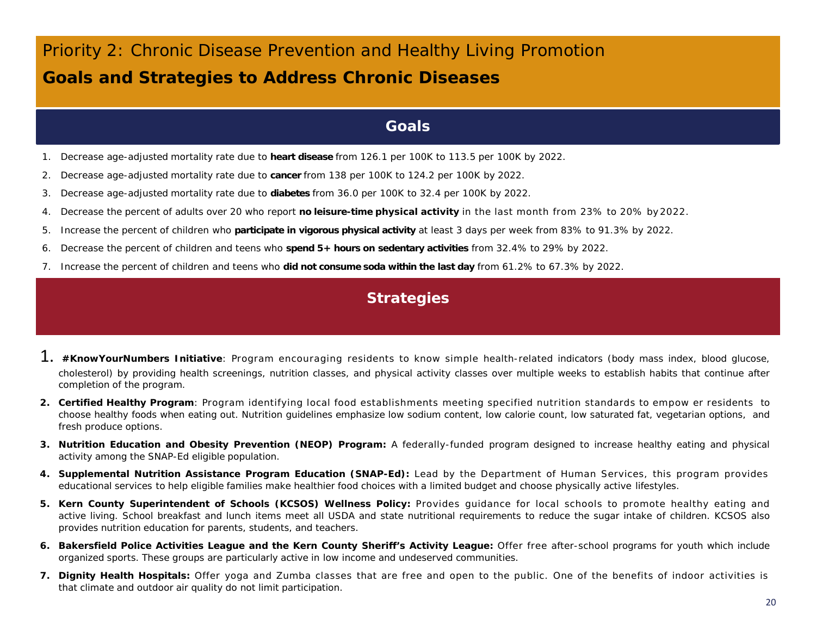## *Priority 2: Chronic Disease Prevention and Healthy Living Promotion* **Goals and Strategies to Address Chronic Diseases**

### **Goals**

- 1. Decrease age-adjusted mortality rate due to **heart disease** from 126.1 per 100K to 113.5 per 100K by 2022.
- 2. Decrease age-adjusted mortality rate due to **cancer** from 138 per 100K to 124.2 per 100K by 2022.
- 3. Decrease age-adjusted mortality rate due to **diabetes** from 36.0 per 100K to 32.4 per 100K by 2022.
- 4. Decrease the percent of adults over 20 who report **no leisure-time physical activity** in the last month from 23% to 20% by2022.
- 5. Increase the percent of children who **participate in vigorous physical activity** at least 3 days per week from 83% to 91.3% by 2022.
- 6. Decrease the percent of children and teens who **spend 5+ hours on sedentary activities** from 32.4% to 29% by 2022.
- 7. Increase the percent of children and teens who **did not consume soda within the last day** from 61.2% to 67.3% by 2022.

### **Strategies**

- 1. *#KnowYourNumbers Initiative*: Program encouraging residents to know simple health-related indicators (body mass index, blood glucose, cholesterol) by providing health screenings, nutrition classes, and physical activity classes over multiple weeks to establish habits that continue after completion of the program.
- *2. Certified Healthy Program*: Program identifying local food establishments meeting specified nutrition standards to empow er residents to choose healthy foods when eating out. Nutrition guidelines emphasize low sodium content, low calorie count, low saturated fat, vegetarian options, and fresh produce options.
- *3. Nutrition Education and Obesity Prevention (NEOP) Program:* A federally-funded program designed to increase healthy eating and physical activity among the SNAP-Ed eligible population.
- *4. Supplemental Nutrition Assistance Program Education (SNAP-Ed):* Lead by the Department of Human Services, this program provides educational services to help eligible families make healthier food choices with a limited budget and choose physically active lifestyles.
- *5. Kern County Superintendent of Schools (KCSOS) Wellness Policy:* Provides guidance for local schools to promote healthy eating and active living. School breakfast and lunch items meet all USDA and state nutritional requirements to reduce the sugar intake of children. KCSOS also provides nutrition education for parents, students, and teachers.
- 6. Bakersfield Police Activities League and the Kern County Sheriff's Activity League: Offer free after-school programs for youth which include organized sports. These groups are particularly active in low income and undeserved communities.
- *7. Dignity Health Hospitals:* Offer yoga and Zumba classes that are free and open to the public. One of the benefits of indoor activities is that climate and outdoor air quality do not limit participation.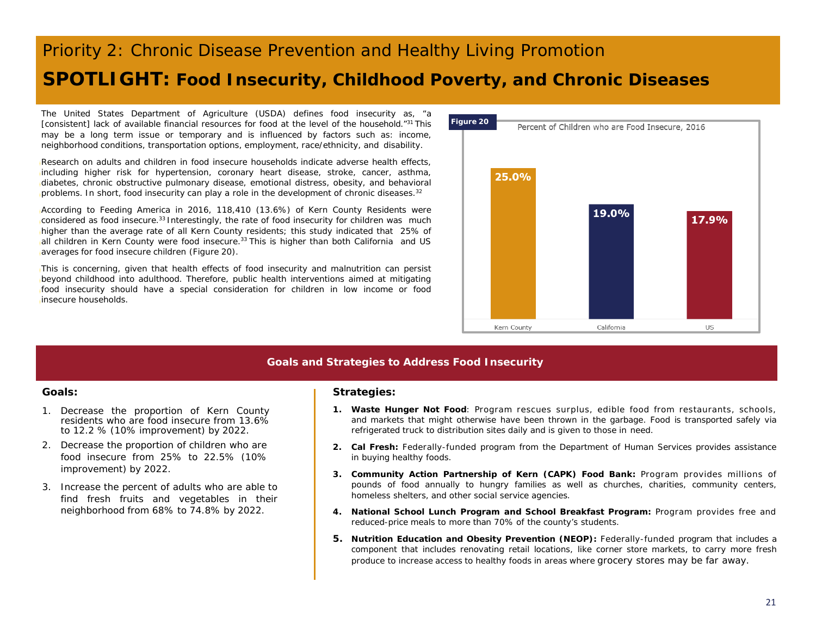## *Priority 2: Chronic Disease Prevention and Healthy Living Promotion* **SPOTLIGHT: Food Insecurity, Childhood Poverty, and Chronic Diseases**

The United States Department of Agriculture (USDA) defines food insecurity as, "a [consistent] lack of available financial resources for food at the level of the household."31 This may be a long term issue or temporary and is influenced by factors such as: income, neighborhood conditions, transportation options, employment, race/ethnicity, and disability.

Research on adults and children in food insecure households indicate adverse health effects, including higher risk for hypertension, coronary heart disease, stroke, cancer, asthma, diabetes, chronic obstructive pulmonary disease, emotional distress, obesity, and behavioral problems. In short, food insecurity can play a role in the development of chronic diseases. $32$ 

According to Feeding America in 2016, 118,410 (13.6%) of Kern County Residents were considered as food insecure.<sup>33</sup> Interestingly, the rate of food insecurity for children was much higher than the average rate of all Kern County residents; this study indicated that 25% of all children in Kern County were food insecure.<sup>33</sup> This is higher than both California and US averages for food insecure children (Figure 20).

This is concerning, given that health effects of food insecurity and malnutrition can persist beyond childhood into adulthood. Therefore, public health interventions aimed at mitigating food insecurity should have a special consideration for children in low income or food insecure households.



### **Goals and Strategies to Address Food Insecurity**

- 1. Decrease the proportion of Kern County residents who are food insecure from 13.6% to 12.2 % (10% improvement) by 2022.
- 2. Decrease the proportion of children who are food insecure from 25% to 22.5% (10% improvement) by 2022.
- 3. Increase the percent of adults who are able to find fresh fruits and vegetables in their neighborhood from 68% to 74.8% by 2022.

#### **Goals: Strategies: Strategies: Strategies:**

- *1. Waste Hunger Not Food*: Program rescues surplus, edible food from restaurants, schools, and markets that might otherwise have been thrown in the garbage. Food is transported safely via refrigerated truck to distribution sites daily and is given to those in need.
- *2. Cal Fresh:* Federally-funded program from the Department of Human Services provides assistance in buying healthy foods.
- *3. Community Action Partnership of Kern (CAPK) Food Bank:* Program provides millions of pounds of food annually to hungry families as well as churches, charities, community centers, homeless shelters, and other social service agencies.
- *4. National School Lunch Program and School Breakfast Program:* Program provides free and reduced-price meals to more than 70% of the county's students.
- *5. Nutrition Education and Obesity Prevention (NEOP):* Federally-funded program that includes a component that includes renovating retail locations, like corner store markets, to carry more fresh produce to increase access to healthy foods in areas where grocery stores may be far away.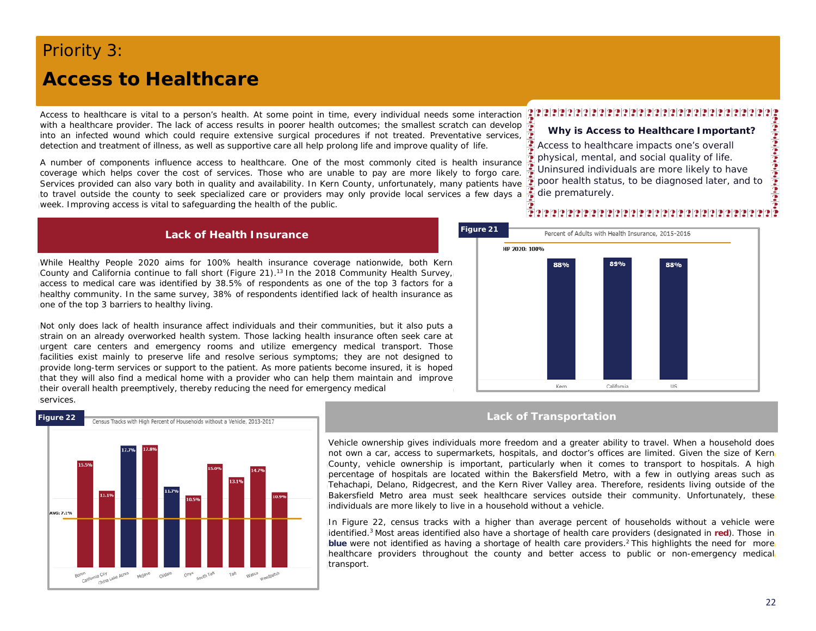## *Priority 3:* **Access to Healthcare**

Access to healthcare is vital to a person's health. At some point in time, every individual needs some interaction with a healthcare provider. The lack of access results in poorer health outcomes; the smallest scratch can develop into an infected wound which could require extensive surgical procedures if not treated. Preventative services, detection and treatment of illness, as well as supportive care all help prolong life and improve quality of life.

A number of components influence access to healthcare. One of the most commonly cited is health insurance coverage which helps cover the cost of services. Those who are unable to pay are more likely to forgo care. Services provided can also vary both in quality and availability. In Kern County, unfortunately, many patients have to travel outside the county to seek specialized care or providers may only provide local services a few days a week. Improving access is vital to safeguarding the health of the public.

#### **Lack of Health Insurance**

While Healthy People 2020 aims for 100% health insurance coverage nationwide, both Kern County and California continue to fall short (Figure 21). <sup>13</sup> In the 2018 Community Health Survey, access to medical care was identified by 38.5% of respondents as one of the top 3 factors for a healthy community. In the same survey, 38% of respondents identified lack of health insurance as one of the top 3 barriers to healthy living.

Not only does lack of health insurance affect individuals and their communities, but it also puts a strain on an already overworked health system. Those lacking health insurance often seek care at urgent care centers and emergency rooms and utilize emergency medical transport. Those facilities exist mainly to preserve life and resolve serious symptoms; they are not designed to provide long-term services or support to the patient. As more patients become insured, it is hoped that they will also find a medical home with a provider who can help them maintain and improve their overall health preemptively, thereby reducing the need for emergency medical services.



California

die prematurely.

á

**Why is Access to Healthcare Important?**

Access to healthcare impacts one's overall physical, mental, and social quality of life. Uninsured individuals are more likely to have poor health status, to be diagnosed later, and to

#### **Lack of Transportation**

Kem

Vehicle ownership gives individuals more freedom and a greater ability to travel. When a household does not own a car, access to supermarkets, hospitals, and doctor's offices are limited. Given the size of Kern County, vehicle ownership is important, particularly when it comes to transport to hospitals. A high percentage of hospitals are located within the Bakersfield Metro, with a few in outlying areas such as Tehachapi, Delano, Ridgecrest, and the Kern River Valley area. Therefore, residents living outside of the Bakersfield Metro area must seek healthcare services outside their community. Unfortunately, these individuals are more likely to live in a household without a vehicle.

In Figure 22, census tracks with a higher than average percent of households without a vehicle were identified. <sup>3</sup> Most areas identified also have a shortage of health care providers (designated in **red**). Those in **blue** were not identified as having a shortage of health care providers. <sup>2</sup> This highlights the need for more healthcare providers throughout the county and better access to public or non-emergency medical transport.

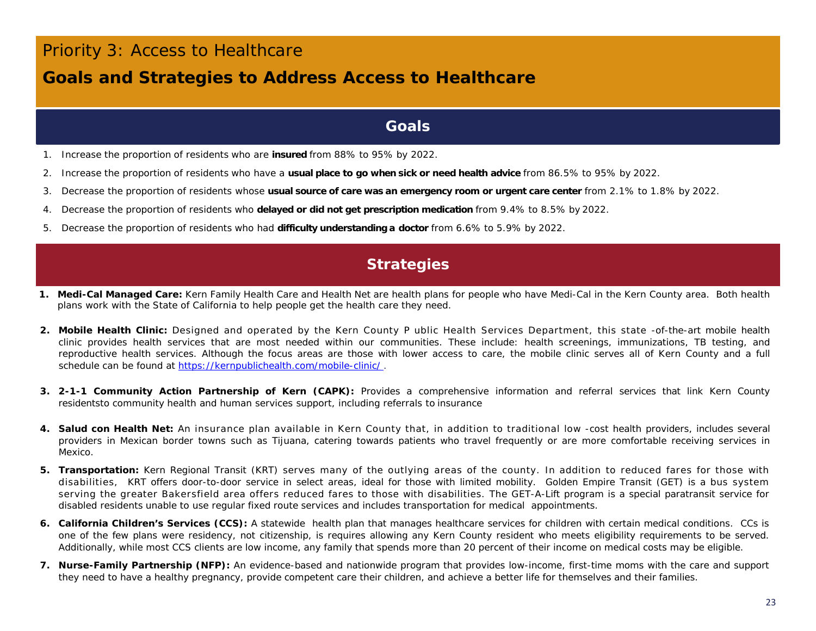### *Priority 3: Access to Healthcare*

### **Goals and Strategies to Address Access to Healthcare**

### **Goals**

- 1. Increase the proportion of residents who are **insured** from 88% to 95% by 2022.
- 2. Increase the proportion of residents who have a **usual place to go when sick or need health advice** from 86.5% to 95% by 2022.
- 3. Decrease the proportion of residents whose **usual source of care was an emergency room or urgent care center** from 2.1% to 1.8% by 2022.
- 4. Decrease the proportion of residents who **delayed or did not get prescription medication** from 9.4% to 8.5% by 2022.
- 5. Decrease the proportion of residents who had **difficulty understanding a doctor** from 6.6% to 5.9% by 2022.

### **Strategies**

- *1. Medi-Cal Managed Care: Kern Family Health Care and Health Net* are health plans for people who have Medi-Cal in the Kern County area. Both health plans work with the State of California to help people get the health care they need.
- *2. Mobile Health Clinic:* Designed and operated by the Kern County P ublic Health Services Department, this state -of-the-art mobile health clinic provides health services that are most needed within our communities. These include: health screenings, immunizations, TB testing, and reproductive health services. Although the focus areas are those with lower access to care, the mobile clinic serves all of Kern County and a full schedule can be found at <https://kernpublichealth.com/mobile-clinic/>.
- *3. 2-1-1 Community Action Partnership of Kern (CAPK):* Provides a comprehensive information and referral services that link Kern County residentsto community health and human services support, including referrals to insurance
- *4. Salud con Health Net:* An insurance plan available in Kern County that, in addition to traditional low -cost health providers, includes several providers in Mexican border towns such as Tijuana, catering towards patients who travel frequently or are more comfortable receiving services in Mexico.
- *5. Transportation: Kern Regional Transit (KRT)* serves many of the outlying areas of the county. In addition to reduced fares for those with disabilities, KRT offers door-to-door service in select areas, ideal for those with limited mobility. *Golden Empire Transit (GET) is a* bus system serving the greater Bakersfield area offers reduced fares to those with disabilities. The GET-A-Lift program is a special paratransit service for disabled residents unable to use regular fixed route services and includes transportation for medical appointments.
- **6. California Children's Services (CCS):** A statewide health plan that manages healthcare services for children with certain medical conditions. CCs is one of the few plans were residency, not citizenship, is requires allowing any Kern County resident who meets eligibility requirements to be served. Additionally, while most CCS clients are low income, any family that spends more than 20 percent of their income on medical costs may be eligible.
- **7. Nurse-Family Partnership (NFP):** An evidence-based and nationwide program that provides low-income, first-time moms with the care and support they need to have a healthy pregnancy, provide competent care their children, and achieve a better life for themselves and their families.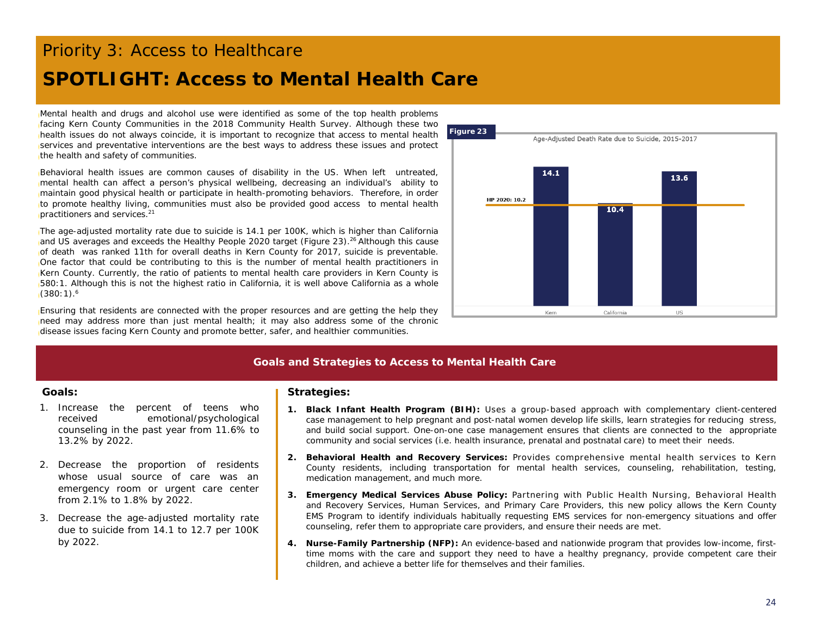# *Priority 3: Access to Healthcare*

## **SPOTLIGHT: Access to Mental Health Care**

Mental health and drugs and alcohol use were identified as some of the top health problems facing Kern County Communities in the 2018 Community Health Survey. Although these two health issues do not always coincide, it is important to recognize that access to mental health services and preventative interventions are the best ways to address these issues and protect the health and safety of communities.

Behavioral health issues are common causes of disability in the US. When left untreated, mental health can affect a person's physical wellbeing, decreasing an individual's ability to maintain good physical health or participate in health-promoting behaviors. Therefore, in order to promote healthy living, communities must also be provided good access to mental health practitioners and services. 21

The age-adjusted mortality rate due to suicide is 14.1 per 100K, which is higher than California and US averages and exceeds the Healthy People 2020 target (Figure 23).<sup>26</sup> Although this cause of death was ranked 11th for overall deaths in Kern County for 2017, suicide is preventable. One factor that could be contributing to this is the number of mental health practitioners in Kern County. Currently, the ratio of patients to mental health care providers in Kern County is 580:1. Although this is not the highest ratio in California, it is well above California as a whole (380:1). 6

Ensuring that residents are connected with the proper resources and are getting the help they need may address more than just mental health; it may also address some of the chronic disease issues facing Kern County and promote better, safer, and healthier communities.



### **Goals and Strategies to Access to Mental Health Care**

- 1. Increase the percent of teens who received emotional/psychological counseling in the past year from 11.6% to 13.2% by 2022.
- 2. Decrease the proportion of residents whose usual source of care was an emergency room or urgent care center from 2.1% to 1.8% by 2022.
- 3. Decrease the age-adjusted mortality rate due to suicide from 14.1 to 12.7 per 100K by 2022.

#### **Goals: Strategies:**

- *1. Black Infant Health Program (BIH):* Uses a group-based approach with complementary client-centered case management to help pregnant and post-natal women develop life skills, learn strategies for reducing stress, and build social support. One-on-one case management ensures that clients are connected to the appropriate community and social services (i.e. health insurance, prenatal and postnatal care) to meet their needs.
- *2. Behavioral Health and Recovery Services:* Provides comprehensive mental health services to Kern County residents, including transportation for mental health services, counseling, rehabilitation, testing, medication management, and much more.
- *3. Emergency Medical Services Abuse Policy:* Partnering with Public Health Nursing, Behavioral Health and Recovery Services, Human Services, and Primary Care Providers, this new policy allows the Kern County EMS Program to identify individuals habitually requesting EMS services for non-emergency situations and offer counseling, refer them to appropriate care providers, and ensure their needs are met.
- **4. Nurse-Family Partnership (NFP):** An evidence-based and nationwide program that provides low-income, firsttime moms with the care and support they need to have a healthy pregnancy, provide competent care their children, and achieve a better life for themselves and their families.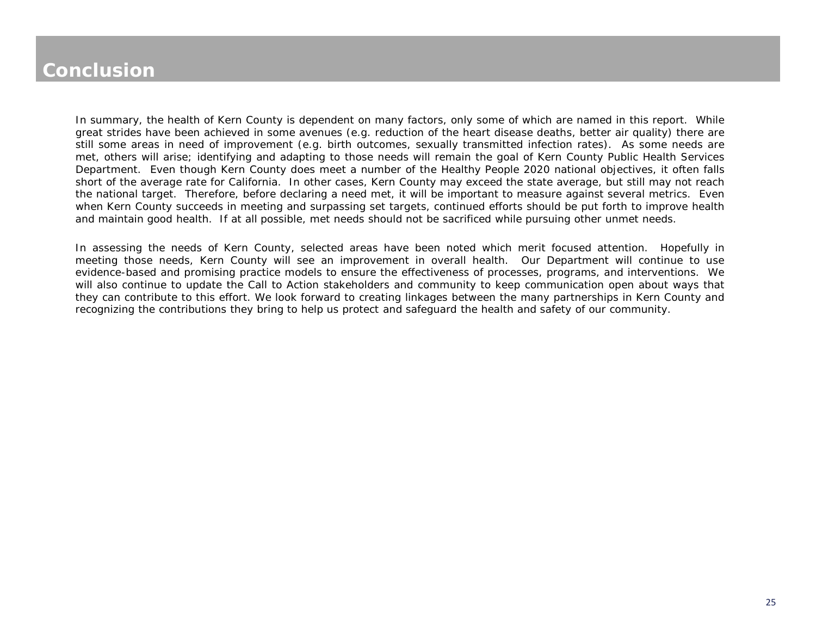## **Conclusion**

In summary, the health of Kern County is dependent on many factors, only some of which are named in this report. While great strides have been achieved in some avenues (e.g. reduction of the heart disease deaths, better air quality) there are still some areas in need of improvement (e.g. birth outcomes, sexually transmitted infection rates). As some needs are met, others will arise; identifying and adapting to those needs will remain the goal of Kern County Public Health Services Department. Even though Kern County does meet a number of the Healthy People 2020 national objectives, it often falls short of the average rate for California. In other cases, Kern County may exceed the state average, but still may not reach the national target. Therefore, before declaring a need met, it will be important to measure against several metrics. Even when Kern County succeeds in meeting and surpassing set targets, continued efforts should be put forth to improve health and maintain good health. If at all possible, met needs should not be sacrificed while pursuing other unmet needs.

In assessing the needs of Kern County, selected areas have been noted which merit focused attention. Hopefully in meeting those needs, Kern County will see an improvement in overall health. Our Department will continue to use evidence-based and promising practice models to ensure the effectiveness of processes, programs, and interventions. We will also continue to update the Call to Action stakeholders and community to keep communication open about ways that they can contribute to this effort. We look forward to creating linkages between the many partnerships in Kern County and recognizing the contributions they bring to help us protect and safeguard the health and safety of our community.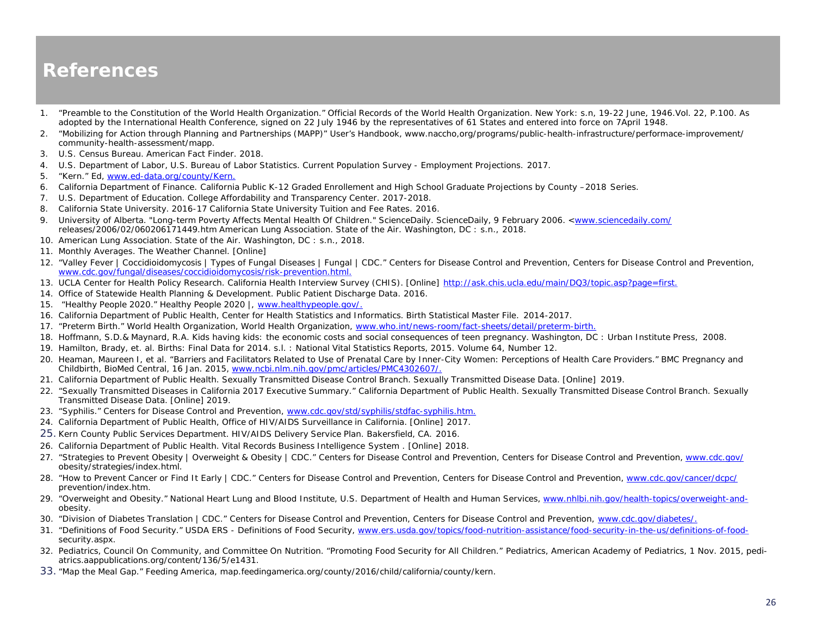### **References**

- 1. "Preamble to the Constitution of the World Health Organization." *Official Records of the World Health Organization.* New York: s.n, 19-22 June, 1946.Vol. 22, P.100. As adopted by the International Health Conference, signed on 22 July 1946 by the representatives of 61 States and entered into force on 7April 1948.
- 2. "Mobilizing for Action through Planning and Partnerships (MAPP)" User's Handbook, www.naccho,org/programs/public-health-infrastructure/performace-improvement/ community-health-assessment/mapp.
- 3. U.S. Census Bureau. *American Fact Finder.* 2018.
- 4. U.S. Department of Labor, U.S. Bureau of Labor Statistics. *Current Population Survey - Employment Projections.* 2017.
- 5. "Kern." Ed, [www.ed-data.org/county/Kern.](http://www.ed-data.org/county/Kern)
- 6. California Department of Finance. *California Public K-12 Graded Enrollement and High School Graduate Projections by County –2018 Series*.
- 7. U.S. Department of Education. College Affordability and Transparency Center. 2017-2018.
- 8. California State University. 2016-17 California State University Tuition and Fee Rates. 2016.
- 9. University of Alberta. "Long-term Poverty Affects Mental Health Of Children." ScienceDaily. ScienceDaily, 9 February 2006. <[www.sciencedaily.com/](http://www.sciencedaily.com/) releases/2006/02/060206171449.htm American Lung Association. *State of the Air.* Washington, DC : s.n., 2018.
- 10. American Lung Association. *State of the Air.* Washington, DC : s.n., 2018.
- 11. Monthly Averages. The Weather Channel. [Online]
- 12. "Valley Fever | Coccidioidomycosis | Types of Fungal Diseases | Fungal | CDC." *Centers for Disease Control and Prevention*, Centers for Disease Control and Prevention, [www.cdc.gov/fungal/diseases/coccidioidomycosis/risk-prevention.html.](http://www.cdc.gov/fungal/diseases/coccidioidomycosis/risk-prevention.html)
- 13. UCLA Center for Health Policy Research. California Health Interview Survey (CHIS). [Online] [http://ask.chis.ucla.edu/main/DQ3/topic.asp?page=first.](http://ask.chis.ucla.edu/main/DQ3/topic.asp?page=first)
- 14. Office of Statewide Health Planning & Development. *Public Patient Discharge Data.* 2016.
- 15. "Healthy People 2020." Healthy People 2020 |, [www.healthypeople.gov/.](http://www.healthypeople.gov/)
- 16. California Department of Public Health, Center for Health Statistics and Informatics. *Birth Statistical Master File.* 2014-2017.
- 17. "Preterm Birth." *World Health Organization*, World Health Organization, [www.who.int/news-room/fact-sheets/detail/preterm-birth.](http://www.who.int/news-room/fact-sheets/detail/preterm-birth)
- 18. Hoffmann, S.D.& Maynard, R.A. *Kids having kids: the economic costs and social consequences of teen pregnancy*. Washington, DC: Urban Institute Press, 2008.
- 19. Hamilton, Brady, et. al. *Births: Final Data for 2014.* s.l. : National Vital Statistics Reports, 2015. Volume 64, Number 12.
- 20. Heaman, Maureen I, et al. "Barriers and Facilitators Related to Use of Prenatal Care by Inner-City Women: Perceptions of Health Care Providers." *BMC Pregnancy and Childbirth*, BioMed Central, 16 Jan. 2015, [www.ncbi.nlm.nih.gov/pmc/articles/PMC4302607/.](http://www.ncbi.nlm.nih.gov/pmc/articles/PMC4302607/)
- 21. California Department of Public Health. Sexually Transmitted Disease Control Branch. Sexually Transmitted Disease Data. [Online] 2019.
- 22. "Sexually Transmitted Diseases in California 2017 Executive Summary." California Department of Public Health. Sexually Transmitted Disease Control Branch. Sexually Transmitted Disease Data. [Online] 2019.
- 23. "Syphilis." *Centers for Disease Control and Prevention*, [www.cdc.gov/std/syphilis/stdfac-syphilis.htm.](http://www.cdc.gov/std/syphilis/stdfac-syphilis.htm)
- 24. California Department of Public Health, Office of HIV/AIDS Surveillance in California. [Online] 2017.
- 25. Kern County Public Services Department. *HIV/AIDS Delivery Service Plan.* Bakersfield, CA. 2016.
- 26. California Department of Public Health. Vital Records Business Intelligence System . [Online] 2018.
- 27. "Strategies to Prevent Obesity | Overweight & Obesity | CDC." Centers for Disease Control and Prevention, Centers for Disease Control and Prevention, www.cdc.gov/ obesity/strategies/index.html.
- 28. "How to Prevent Cancer or Find It Early | CDC." *Centers for Disease Control and Prevention*, Centers for Disease Control and Prevention, [www.cdc.gov/cancer/dcpc/](http://www.cdc.gov/cancer/dcpc/)  prevention/index.htm.
- 29. "Overweight and Obesity." National Heart Lung and Blood Institute, U.S. Department of Health and Human Services, [www.nhlbi.nih.gov/health-topics/overweight-and](http://www.nhlbi.nih.gov/health-topics/overweight-and-)obesity.
- 30. "Division of Diabetes Translation | CDC." *Centers for Disease Control and Prevention*, Centers for Disease Control and Prevention, [www.cdc.gov/diabetes/.](http://www.cdc.gov/diabetes/)
- 31. "Definitions of Food Security." *USDA ERS - Definitions of Food Security*, [www.ers.usda.gov/topics/food-nutrition-assistance/food-security-in-the-us/definitions-of-food](http://www.ers.usda.gov/topics/food-nutrition-assistance/food-security-in-the-us/definitions-of-food-)security.aspx.
- 32. Pediatrics, Council On Community, and Committee On Nutrition. "Promoting Food Security for All Children." *Pediatrics*, American Academy of Pediatrics, 1 Nov. 2015, pediatrics.aappublications.org/content/136/5/e1431.
- 33. "Map the Meal Gap." *Feeding America*, map.feedingamerica.org/county/2016/child/california/county/kern.